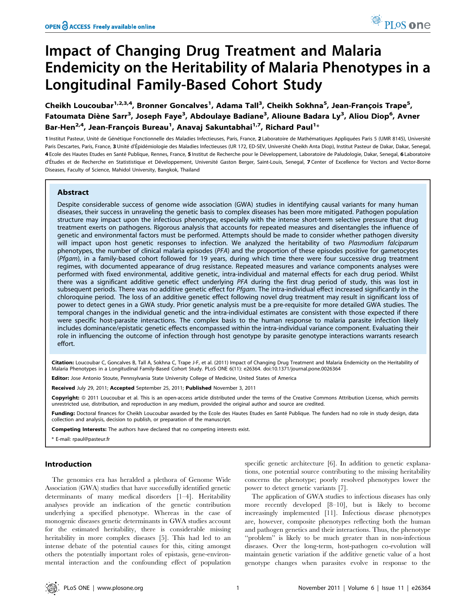# Impact of Changing Drug Treatment and Malaria Endemicity on the Heritability of Malaria Phenotypes in a Longitudinal Family-Based Cohort Study

Cheikh Loucoubar<sup>1,2,3,4</sup>, Bronner Goncalves<sup>1</sup>, Adama Tall<sup>3</sup>, Cheikh Sokhna<sup>5</sup>, Jean-François Trape<sup>5</sup>, Fatoumata Diène Sarr<sup>3</sup>, Joseph Faye<sup>3</sup>, Abdoulaye Badiane<sup>3</sup>, Alioune Badara Ly<sup>3</sup>, Aliou Diop<sup>6</sup>, Avner Bar-Hen<sup>2,4</sup>, Jean-François Bureau<sup>1</sup>, Anavaj Sakuntabhai<sup>1,7</sup>, Richard Paul<sup>1</sup>\*

1 Institut Pasteur, Unité de Génétique Fonctionnelle des Maladies Infectieuses, Paris, France, 2 Laboratoire de Mathématiques Appliquées Paris 5 (UMR 8145), Université Paris Descartes, Paris, France, 3 Unité d'Épidémiologie des Maladies Infectieuses (UR 172, ED-SEV, Université Cheikh Anta Diop), Institut Pasteur de Dakar, Dakar, Senegal, 4 Ecole des Hautes Etudes en Santé Publique, Rennes, France, 5 Institut de Recherche pour le Développement, Laboratoire de Paludologie, Dakar, Senegal, 6 Laboratoire d'Études et de Recherche en Statististique et Développement, Université Gaston Berger, Saint-Louis, Senegal, 7 Center of Excellence for Vectors and Vector-Borne Diseases, Faculty of Science, Mahidol University, Bangkok, Thailand

# Abstract

Despite considerable success of genome wide association (GWA) studies in identifying causal variants for many human diseases, their success in unraveling the genetic basis to complex diseases has been more mitigated. Pathogen population structure may impact upon the infectious phenotype, especially with the intense short-term selective pressure that drug treatment exerts on pathogens. Rigorous analysis that accounts for repeated measures and disentangles the influence of genetic and environmental factors must be performed. Attempts should be made to consider whether pathogen diversity will impact upon host genetic responses to infection. We analyzed the heritability of two Plasmodium falciparum phenotypes, the number of clinical malaria episodes (PFA) and the proportion of these episodes positive for gametocytes (Pfgam), in a family-based cohort followed for 19 years, during which time there were four successive drug treatment regimes, with documented appearance of drug resistance. Repeated measures and variance components analyses were performed with fixed environmental, additive genetic, intra-individual and maternal effects for each drug period. Whilst there was a significant additive genetic effect underlying PFA during the first drug period of study, this was lost in subsequent periods. There was no additive genetic effect for Pfgam. The intra-individual effect increased significantly in the chloroquine period. The loss of an additive genetic effect following novel drug treatment may result in significant loss of power to detect genes in a GWA study. Prior genetic analysis must be a pre-requisite for more detailed GWA studies. The temporal changes in the individual genetic and the intra-individual estimates are consistent with those expected if there were specific host-parasite interactions. The complex basis to the human response to malaria parasite infection likely includes dominance/epistatic genetic effects encompassed within the intra-individual variance component. Evaluating their role in influencing the outcome of infection through host genotype by parasite genotype interactions warrants research effort.

Citation: Loucoubar C, Goncalves B, Tall A, Sokhna C, Trape J-F, et al. (2011) Impact of Changing Drug Treatment and Malaria Endemicity on the Heritability of Malaria Phenotypes in a Longitudinal Family-Based Cohort Study. PLoS ONE 6(11): e26364. doi:10.1371/journal.pone.0026364

Editor: Jose Antonio Stoute, Pennsylvania State University College of Medicine, United States of America

Received July 29, 2011; Accepted September 25, 2011; Published November 3, 2011

**Copyright:** © 2011 Loucoubar et al. This is an open-access article distributed under the terms of the Creative Commons Attribution License, which permits unrestricted use, distribution, and reproduction in any medium, provided the original author and source are credited.

Funding: Doctoral finances for Cheikh Loucoubar awarded by the Ecole des Hautes Etudes en Santé Publique. The funders had no role in study design, data collection and analysis, decision to publish, or preparation of the manuscript.

Competing Interests: The authors have declared that no competing interests exist.

\* E-mail: rpaul@pasteur.fr

## Introduction

The genomics era has heralded a plethora of Genome Wide Association (GWA) studies that have successfully identified genetic determinants of many medical disorders [1–4]. Heritability analyses provide an indication of the genetic contribution underlying a specified phenotype. Whereas in the case of monogenic diseases genetic determinants in GWA studies account for the estimated heritability, there is considerable missing heritability in more complex diseases [5]. This had led to an intense debate of the potential causes for this, citing amongst others the potentially important roles of epistasis, gene-environmental interaction and the confounding effect of population

specific genetic architecture [6]. In addition to genetic explanations, one potential source contributing to the missing heritability concerns the phenotype; poorly resolved phenotypes lower the power to detect genetic variants [7].

The application of GWA studies to infectious diseases has only more recently developed [8–10], but is likely to become increasingly implemented [11]. Infectious disease phenotypes are, however, composite phenotypes reflecting both the human and pathogen genetics and their interactions. Thus, the phenotype "problem" is likely to be much greater than in non-infectious diseases. Over the long-term, host-pathogen co-evolution will maintain genetic variation if the additive genetic value of a host genotype changes when parasites evolve in response to the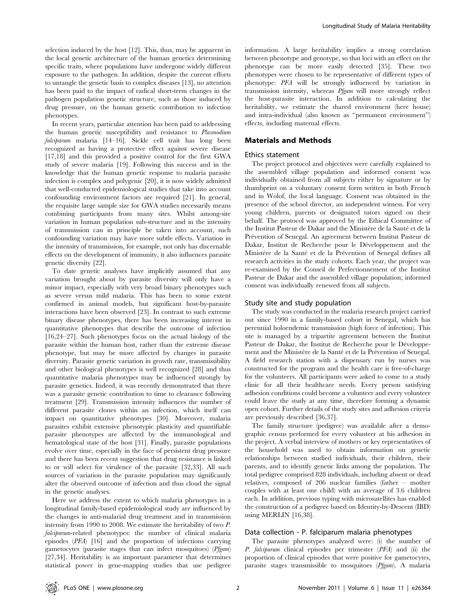selection induced by the host [12]. This, thus, may be apparent in the local genetic architecture of the human genetics determining specific traits, where populations have undergone widely different exposure to the pathogen. In addition, despite the current efforts to untangle the genetic basis to complex diseases [13], no attention has been paid to the impact of radical short-term changes in the pathogen population genetic structure, such as those induced by drug pressure, on the human genetic contribution to infection phenotypes.

In recent years, particular attention has been paid to addressing the human genetic susceptibility and resistance to Plasmodium falciparum malaria [14–16]. Sickle cell trait has long been recognized as having a protective effect against severe disease [17,18] and this provided a positive control for the first GWA study of severe malaria [19]. Following this success and in the knowledge that the human genetic response to malaria parasite infection is complex and polygenic [20], it is now widely admitted that well-conducted epidemiological studies that take into account confounding environment factors are required [21]. In general, the requisite large sample size for GWA studies necessarily means combining participants from many sites. Whilst among-site variation in human population sub-structure and in the intensity of transmission can in principle be taken into account, such confounding variation may have more subtle effects. Variation in the intensity of transmission, for example, not only has discernable effects on the development of immunity, it also influences parasite genetic diversity [22].

To date genetic analyses have implicitly assumed that any variation brought about by parasite diversity will only have a minor impact, especially with very broad binary phenotypes such as severe versus mild malaria. This has been to some extent confirmed in animal models, but significant host-by-parasite interactions have been observed [23]. In contrast to such extreme binary disease phenotypes, there has been increasing interest in quantitative phenotypes that describe the outcome of infection [16,24–27]. Such phenotypes focus on the actual biology of the parasite within the human host, rather than the extreme disease phenotype, but may be more affected by changes in parasite diversity. Parasite genetic variation in growth rate, transmissibility and other biological phenotypes is well recognized [28] and thus quantitative malaria phenotypes may be influenced strongly by parasite genetics. Indeed, it was recently demonstrated that there was a parasite genetic contribution to time to clearance following treatment [29]. Transmission intensity influences the number of different parasite clones within an infection, which itself can impact on quantitative phenotypes [30]. Moreover, malaria parasites exhibit extensive phenotypic plasticity and quantifiable parasite phenotypes are affected by the immunological and hematological state of the host [31]. Finally, parasite populations evolve over time, especially in the face of persistent drug pressure and there has been recent suggestion that drug resistance is linked to or will select for virulence of the parasite [32,33]. All such sources of variation in the parasite population may significantly alter the observed outcome of infection and thus cloud the signal in the genetic analyses.

Here we address the extent to which malaria phenotypes in a longitudinal family-based epidemiological study are influenced by the changes in anti-malarial drug treatment and in transmission intensity from 1990 to 2008. We estimate the heritability of two P. falciparum-related phenotypes: the number of clinical malaria episodes (PFA) [16] and the proportion of infections carrying gametocytes (parasite stages that can infect mosquitoes) (Pfgam) [27,34]. Heritability is an important parameter that determines statistical power in gene-mapping studies that use pedigree

information. A large heritability implies a strong correlation between phenotype and genotype, so that loci with an effect on the phenotype can be more easily detected [35]. These two phenotypes were chosen to be representative of different types of phenotype: PFA will be strongly influenced by variation in transmission intensity, whereas Pfgam will more strongly reflect the host-parasite interaction. In addition to calculating the heritability, we estimate the shared environment (here house) and intra-individual (also known as ''permanent environment'') effects, including maternal effects.

# Materials and Methods

## Ethics statement

The project protocol and objectives were carefully explained to the assembled village population and informed consent was individually obtained from all subjects either by signature or by thumbprint on a voluntary consent form written in both French and in Wolof, the local language. Consent was obtained in the presence of the school director, an independent witness. For very young children, parents or designated tutors signed on their behalf. The protocol was approved by the Ethical Committee of the Institut Pasteur de Dakar and the Ministère de la Santé et de la Prévention of Senegal. An agreement between Institut Pasteur de Dakar, Institut de Recherche pour le Développement and the Ministère de la Santé et de la Prévention of Senegal defines all research activities in the study cohorts. Each year, the project was re-examined by the Conseil de Perfectionnement of the Institut Pasteur de Dakar and the assembled village population; informed consent was individually renewed from all subjects.

#### Study site and study population

The study was conducted in the malaria research project carried out since 1990 in a family-based cohort in Senegal, which has perennial holoendemic transmission (high force of infection). This site is managed by a tripartite agreement between the Institut Pasteur de Dakar, the Institut de Recherche pour le Développement and the Ministère de la Santé et de la Prévention of Senegal. A field research station with a dispensary run by nurses was constructed for the program and the health care is free-of-charge for the volunteers. All participants were asked to come to a study clinic for all their healthcare needs. Every person satisfying adhesion conditions could become a volunteer and every volunteer could leave the study at any time, therefore forming a dynamic open cohort. Further details of the study sites and adhesion criteria are previously described [36,37].

The family structure (pedigree) was available after a demographic census performed for every volunteer at his adhesion in the project. A verbal interview of mothers or key representatives of the household was used to obtain information on genetic relationships between studied individuals, their children, their parents, and to identify genetic links among the population. The total pedigree comprised 828 individuals, including absent or dead relatives, composed of 206 nuclear families (father – mother couples with at least one child) with an average of 3.6 children each. In addition, previous typing with microsatellites has enabled the construction of a pedigree based on Identity-by-Descent (IBD) using MERLIN [16,38].

## Data collection - P. falciparum malaria phenotypes

The parasite phenotypes analyzed were: (i) the number of P. falciparum clinical episodes per trimester (PFA) and (ii) the proportion of clinical episodes that were positive for gametocytes, parasite stages transmissible to mosquitoes (Pfgam). A malaria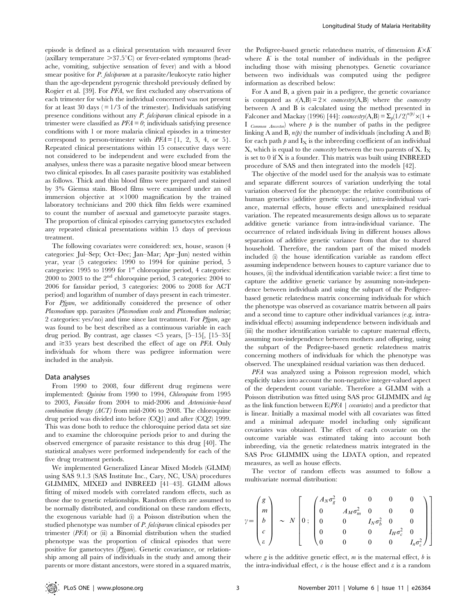episode is defined as a clinical presentation with measured fever (axillary temperature  $>37.5^{\circ}C$ ) or fever-related symptoms (headache, vomiting, subjective sensation of fever) and with a blood smear positive for *P. falciparum* at a parasite/leukocyte ratio higher than the age-dependent pyrogenic threshold previously defined by Rogier et al. [39]. For PFA, we first excluded any observations of each trimester for which the individual concerned was not present for at least 30 days  $( = 1/3$  of the trimester). Individuals satisfying presence conditions without any P. falciparum clinical episode in a trimester were classified as  $PFA = 0$ ; individuals satisfying presence conditions with 1 or more malaria clinical episodes in a trimester correspond to person-trimester with  $PFA = \{1, 2, 3, 4, \text{ or } 5\}.$ Repeated clinical presentations within 15 consecutive days were not considered to be independent and were excluded from the analyses, unless there was a parasite negative blood smear between two clinical episodes. In all cases parasite positivity was established as follows. Thick and thin blood films were prepared and stained by 3% Giemsa stain. Blood films were examined under an oil immersion objective at  $\times1000$  magnification by the trained laboratory technicians and 200 thick film fields were examined to count the number of asexual and gametocyte parasite stages. The proportion of clinical episodes carrying gametocytes excluded any repeated clinical presentations within 15 days of previous treatment.

The following covariates were considered: sex, house, season (4 categories: Jul–Sep; Oct–Dec; Jan–Mar; Apr–Jun) nested within year, year (5 categories: 1990 to 1994 for quinine period, 5 categories: 1995 to 1999 for  $1<sup>st</sup>$  chloroquine period, 4 categories: 2000 to 2003 to the 2nd chloroquine period, 3 categories: 2004 to 2006 for fansidar period, 3 categories: 2006 to 2008 for ACT period) and logarithm of number of days present in each trimester. For *Pfgam*, we additionally considered the presence of other Plasmodium spp. parasites (Plasmodium ovale and Plasmodium malariae; 2 categories: yes/no) and time since last treatment. For *Pfgam*, age was found to be best described as a continuous variable in each drug period. By contrast, age classes  $\leq$ 5 years, [5–15], [15–35] and  $\geq$  35 years best described the effect of age on *PFA*. Only individuals for whom there was pedigree information were included in the analysis.

#### Data analyses

From 1990 to 2008, four different drug regimens were implemented: Quinine from 1990 to 1994, Chloroquine from 1995 to 2003, Fansidar from 2004 to mid-2006 and Artemisinin-based combination therapy (ACT) from mid-2006 to 2008. The chloroquine drug period was divided into before (CQ1) and after (CQ2) 1999. This was done both to reduce the chloroquine period data set size and to examine the chloroquine periods prior to and during the observed emergence of parasite resistance to this drug [40]. The statistical analyses were performed independently for each of the five drug treatment periods.

We implemented Generalized Linear Mixed Models (GLMM) using SAS 9.1.3 (SAS Institute Inc., Cary, NC, USA) procedures GLIMMIX, MIXED and INBREED [41–43]. GLMM allows fitting of mixed models with correlated random effects, such as those due to genetic relationships. Random effects are assumed to be normally distributed, and conditional on these random effects, the exogenous variable had (i) a Poisson distribution when the studied phenotype was number of *P. falciparum* clinical episodes per trimester (PFA) or (ii) a Binomial distribution when the studied phenotype was the proportion of clinical episodes that were positive for gametocytes (Pfgam). Genetic covariance, or relationship among all pairs of individuals in the study and among their parents or more distant ancestors, were stored in a squared matrix,

the Pedigree-based genetic relatedness matrix, of dimension  $K\times K$ where  $K$  is the total number of individuals in the pedigree including those with missing phenotypes. Genetic covariance between two individuals was computed using the pedigree information as described below:

For A and B, a given pair in a pedigree, the genetic covariance is computed as  $r(A,B) = 2 \times \text{concestry}(A,B)$  where the *coancestry* between A and B is calculated using the method presented in Falconer and Mackay (1996) [44]: coancestry(A,B) =  $\sum_{b}(1/2)^{n(b)} \times (1 +$ I Common Ancestor) where  $p$  is the number of paths in the pedigree linking A and B,  $n(b)$  the number of individuals (including A and B) for each path  $\beta$  and  $I_x$  is the inbreeding coefficient of an individual X, which is equal to the *coancestry* between the two parents of X.  $I_x$ is set to 0 if X is a founder. This matrix was built using INBREED procedure of SAS and then integrated into the models [42].

The objective of the model used for the analysis was to estimate and separate different sources of variation underlying the total variation observed for the phenotype: the relative contributions of human genetics (additive genetic variance), intra-individual variance, maternal effects, house effects and unexplained residual variation. The repeated measurements design allows us to separate additive genetic variance from intra-individual variance. The occurrence of related individuals living in different houses allows separation of additive genetic variance from that due to shared household. Therefore, the random part of the mixed models included (i) the house identification variable as random effect assuming independence between houses to capture variance due to houses, (ii) the individual identification variable twice: a first time to capture the additive genetic variance by assuming non-independence between individuals and using the subpart of the Pedigreebased genetic relatedness matrix concerning individuals for which the phenotype was observed as covariance matrix between all pairs and a second time to capture other individual variances (e.g. intraindividual effects) assuming independence between individuals and (iii) the mother identification variable to capture maternal effects, assuming non-independence between mothers and offspring, using the subpart of the Pedigree-based genetic relatedness matrix concerning mothers of individuals for which the phenotype was observed. The unexplained residual variation was then deduced.

PFA was analyzed using a Poisson regression model, which explicitly takes into account the non-negative integer-valued aspect of the dependent count variable. Therefore a GLMM with a Poisson distribution was fitted using SAS proc GLIMMIX and log as the link function between  $E(PFA \mid covariates)$  and a predictor that is linear. Initially a maximal model with all covariates was fitted and a minimal adequate model including only significant covariates was obtained. The effect of each covariate on the outcome variable was estimated taking into account both inbreeding, via the genetic relatedness matrix integrated in the SAS Proc GLIMMIX using the LDATA option, and repeated measures, as well as house effects.

The vector of random effects was assumed to follow a multivariate normal distribution:

$$
\gamma = \begin{pmatrix} g \\ m \\ b \\ c \\ \varepsilon \end{pmatrix} \sim N \begin{bmatrix} A_N \sigma_g^2 & 0 & 0 & 0 & 0 \\ 0 & A_M \sigma_m^2 & 0 & 0 & 0 \\ 0 & 0 & I_N \sigma_b^2 & 0 & 0 \\ 0 & 0 & 0 & I_H \sigma_c^2 & 0 \\ 0 & 0 & 0 & 0 & I_H \sigma_c^2 \end{bmatrix}
$$

where  $g$  is the additive genetic effect,  $m$  is the maternal effect,  $b$  is the intra-individual effect,  $c$  is the house effect and  $\varepsilon$  is a random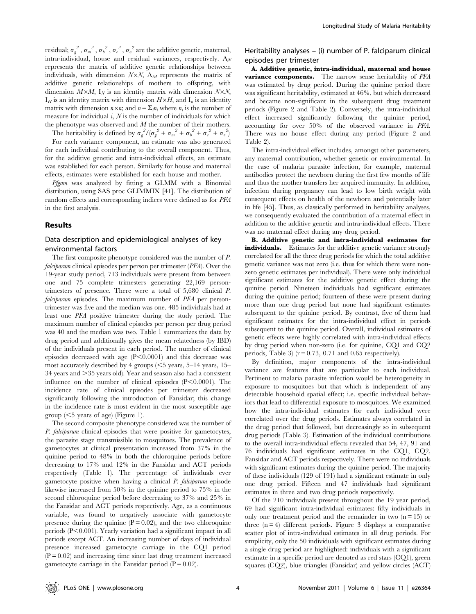residual;  $\sigma_g^{\;2}$  ,  $\sigma_m^{\;2}$  ,  $\sigma_b^{\;2}$  ,  $\sigma_c^{\;2}$  ,  $\sigma_s^{\;2}$  are the additive genetic, maternal, intra-individual, house and residual variances, respectively.  $A_N$ represents the matrix of additive genetic relationships between individuals, with dimension  $N \times N$ ,  $A_M$  represents the matrix of additive genetic relationships of mothers to offspring, with dimension  $M\times M$ , I<sub>N</sub> is an identity matrix with dimension  $N\times N$ ,  $I_H$  is an identity matrix with dimension  $H \times H$ , and  $I_n$  is an identity matrix with dimension  $n \times n$ ; and  $n = \sum_i n_i$  where  $n_i$  is the number of measure for individual  $i$ ,  $N$  is the number of individuals for which the phenotype was observed and  $M$  the number of their mothers.

The heritability is defined by  $\sigma_g^2/(\sigma_g^2 + \sigma_m^2 + \sigma_b^2 + \sigma_c^2 + \sigma_s^2)$ For each variance component, an estimate was also generated

for each individual contributing to the overall component. Thus, for the additive genetic and intra-individual effects, an estimate was established for each person. Similarly for house and maternal effects, estimates were established for each house and mother.

Pfgam was analyzed by fitting a GLMM with a Binomial distribution, using SAS proc GLIMMIX [41]. The distribution of random effects and corresponding indices were defined as for PFA in the first analysis.

# Results

# Data description and epidemiological analyses of key environmental factors

The first composite phenotype considered was the number of P. falciparum clinical episodes per person per trimester (PFA). Over the 19-year study period, 713 individuals were present from between one and 75 complete trimesters generating 22,169 persontrimesters of presence. There were a total of 5,680 clinical P. falciparum episodes. The maximum number of PFA per persontrimester was five and the median was one. 485 individuals had at least one PFA positive trimester during the study period. The maximum number of clinical episodes per person per drug period was 40 and the median was two. Table 1 summarizes the data by drug period and additionally gives the mean relatedness (by IBD) of the individuals present in each period. The number of clinical episodes decreased with age  $(P<0.0001)$  and this decrease was most accurately described by 4 groups  $(<$  5 years, 5–14 years, 15–  $34$  years and  $>$  35 years old). Year and season also had a consistent influence on the number of clinical episodes  $(P<0.0001)$ . The incidence rate of clinical episodes per trimester decreased significantly following the introduction of Fansidar; this change in the incidence rate is most evident in the most susceptible age group  $(<5$  years of age) (Figure 1).

The second composite phenotype considered was the number of P. falciparum clinical episodes that were positive for gametocytes, the parasite stage transmissible to mosquitoes. The prevalence of gametocytes at clinical presentation increased from 37% in the quinine period to 48% in both the chloroquine periods before decreasing to 17% and 12% in the Fansidar and ACT periods respectively (Table 1). The percentage of individuals ever gametocyte positive when having a clinical P. falciparum episode likewise increased from 50% in the quinine period to 75% in the second chloroquine period before decreasing to 37% and 25% in the Fansidar and ACT periods respectively. Age, as a continuous variable, was found to negatively associate with gametocyte presence during the quinine  $(P = 0.02)$ , and the two chloroquine periods  $(P<0.001)$ . Yearly variation had a significant impact in all periods except ACT. An increasing number of days of individual presence increased gametocyte carriage in the CQ1 period  $(P = 0.02)$  and increasing time since last drug treatment increased gametocyte carriage in the Fansidar period  $(P = 0.02)$ .

Heritability analyses – (i) number of P. falciparum clinical episodes per trimester

A. Additive genetic, intra-individual, maternal and house **variance components.** The narrow sense heritability of PFA was estimated by drug period. During the quinine period there was significant heritability, estimated at 46%, but which decreased and became non-significant in the subsequent drug treatment periods (Figure 2 and Table 2). Conversely, the intra-individual effect increased significantly following the quinine period, accounting for over 50% of the observed variance in PFA. There was no house effect during any period (Figure 2 and Table 2).

The intra-individual effect includes, amongst other parameters, any maternal contribution, whether genetic or environmental. In the case of malaria parasite infection, for example, maternal antibodies protect the newborn during the first few months of life and thus the mother transfers her acquired immunity. In addition, infection during pregnancy can lead to low birth weight with consequent effects on health of the newborn and potentially later in life [45]. Thus, as classically performed in heritability analyses, we consequently evaluated the contribution of a maternal effect in addition to the additive genetic and intra-individual effects. There was no maternal effect during any drug period.

B. Additive genetic and intra-individual estimates for individuals. Estimates for the additive genetic variance strongly correlated for all the three drug periods for which the total additive genetic variance was not zero (i.e. thus for which there were nonzero genetic estimates per individual). There were only individual significant estimates for the additive genetic effect during the quinine period. Nineteen individuals had significant estimates during the quinine period; fourteen of these were present during more than one drug period but none had significant estimates subsequent to the quinine period. By contrast, five of them had significant estimates for the intra-individual effect in periods subsequent to the quinine period. Overall, individual estimates of genetic effects were highly correlated with intra-individual effects by drug period when non-zero (i.e. for quinine, CQ1 and CQ2 periods, Table 3)  $(r = 0.73, 0.71, 0.65$  respectively.

By definition, major components of the intra-individual variance are features that are particular to each individual. Pertinent to malaria parasite infection would be heterogeneity in exposure to mosquitoes but that which is independent of any detectable household spatial effect; i.e. specific individual behaviors that lead to differential exposure to mosquitoes. We examined how the intra-individual estimates for each individual were correlated over the drug periods. Estimates always correlated in the drug period that followed, but decreasingly so in subsequent drug periods (Table 3). Estimation of the individual contributions to the overall intra-individual effects revealed that 54, 47, 91 and 76 individuals had significant estimates in the CQ1, CQ2, Fansidar and ACT periods respectively. There were no individuals with significant estimates during the quinine period. The majority of these individuals (129 of 191) had a significant estimate in only one drug period. Fifteen and 47 individuals had significant estimates in three and two drug periods respectively.

Of the 210 individuals present throughout the 19 year period, 69 had significant intra-individual estimates: fifty individuals in only one treatment period and the remainder in two  $(n = 15)$  or three  $(n = 4)$  different periods. Figure 3 displays a comparative scatter plot of intra-individual estimates in all drug periods. For simplicity, only the 50 individuals with significant estimates during a single drug period are highlighted: individuals with a significant estimate in a specific period are denoted as red stars (CQ1), green squares (CQ2), blue triangles (Fansidar) and yellow circles (ACT)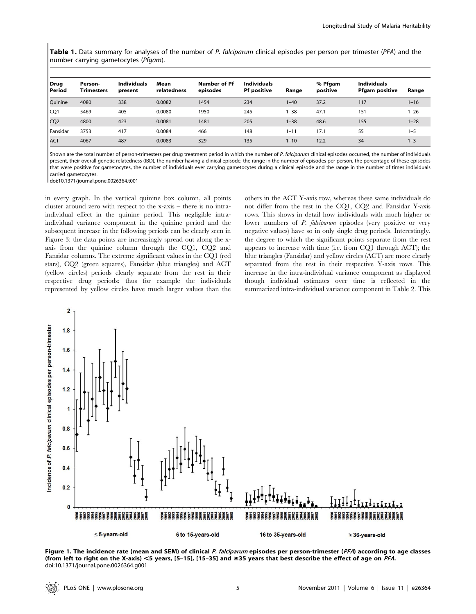Table 1. Data summary for analyses of the number of P. falciparum clinical episodes per person per trimester (PFA) and the number carrying gametocytes (Pfgam).

| Drug<br>l Period | Person-<br>Trimesters | <b>Individuals</b><br>present | Mean<br>relatedness | Number of Pf<br>episodes | <b>Individuals</b><br><b>Pf</b> positive | Range    | % Pfgam<br>positive | <b>Individuals</b><br><b>Pfgam positive</b> | Range    |
|------------------|-----------------------|-------------------------------|---------------------|--------------------------|------------------------------------------|----------|---------------------|---------------------------------------------|----------|
| Quinine          | 4080                  | 338                           | 0.0082              | 1454                     | 234                                      | $1 - 40$ | 37.2                | 117                                         | $1 - 16$ |
| CQ <sub>1</sub>  | 5469                  | 405                           | 0.0080              | 1950                     | 245                                      | $1 - 38$ | 47.1                | 151                                         | $1 - 26$ |
| CQ <sub>2</sub>  | 4800                  | 423                           | 0.0081              | 1481                     | 205                                      | $1 - 38$ | 48.6                | 155                                         | $1 - 28$ |
| Fansidar         | 3753                  | 417                           | 0.0084              | 466                      | 148                                      | $1 - 11$ | 17.1                | 55                                          | $1 - 5$  |
| <b>ACT</b>       | 4067                  | 487                           | 0.0083              | 329                      | 135                                      | $1 - 10$ | 12.2                | 34                                          | $1 - 3$  |

Shown are the total number of person-trimesters per drug treatment period in which the number of P. falciparum clinical episodes occurred, the number of individuals present, their overall genetic relatedness (IBD), the number having a clinical episode, the range in the number of episodes per person, the percentage of these episodes that were positive for gametocytes, the number of individuals ever carrying gametocytes during a clinical episode and the range in the number of times individuals carried gametocytes.

doi:10.1371/journal.pone.0026364.t001

in every graph. In the vertical quinine box column, all points cluster around zero with respect to the x-axis – there is no intraindividual effect in the quinine period. This negligible intraindividual variance component in the quinine period and the subsequent increase in the following periods can be clearly seen in Figure 3: the data points are increasingly spread out along the xaxis from the quinine column through the CQ1, CQ2 and Fansidar columns. The extreme significant values in the CQ1 (red stars), CQ2 (green squares), Fansidar (blue triangles) and ACT (yellow circles) periods clearly separate from the rest in their respective drug periods: thus for example the individuals represented by yellow circles have much larger values than the others in the ACT Y-axis row, whereas these same individuals do not differ from the rest in the CQ1, CQ2 and Fansidar Y-axis rows. This shows in detail how individuals with much higher or lower numbers of P. falciparum episodes (very positive or very negative values) have so in only single drug periods. Interestingly, the degree to which the significant points separate from the rest appears to increase with time (i.e. from CQ1 through ACT); the blue triangles (Fansidar) and yellow circles (ACT) are more clearly separated from the rest in their respective Y-axis rows. This increase in the intra-individual variance component as displayed though individual estimates over time is reflected in the summarized intra-individual variance component in Table 2. This



Figure 1. The incidence rate (mean and SEM) of clinical P. falciparum episodes per person-trimester (PFA) according to age classes (from left to right on the X-axis) <5 years, [5-15], [15-35] and  $\geq$ 35 years that best describe the effect of age on PFA. doi:10.1371/journal.pone.0026364.g001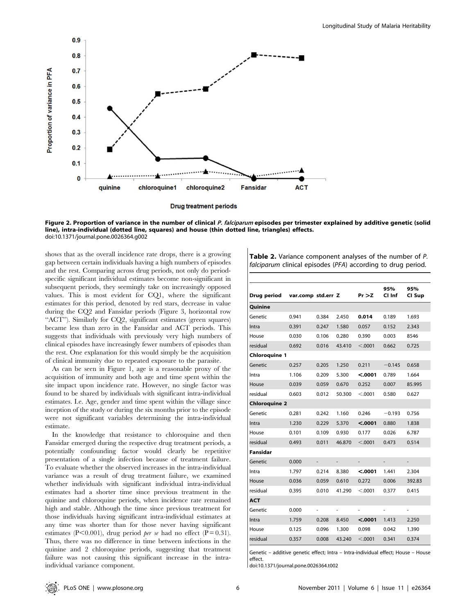

**Drug treatment periods** 

Figure 2. Proportion of variance in the number of clinical P. falciparum episodes per trimester explained by additive genetic (solid line), intra-individual (dotted line, squares) and house (thin dotted line, triangles) effects. doi:10.1371/journal.pone.0026364.g002

shows that as the overall incidence rate drops, there is a growing gap between certain individuals having a high numbers of episodes and the rest. Comparing across drug periods, not only do periodspecific significant individual estimates become non-significant in subsequent periods, they seemingly take on increasingly opposed values. This is most evident for CQ1, where the significant estimates for this period, denoted by red stars, decrease in value during the CQ2 and Fansidar periods (Figure 3, horizontal row ''ACT''). Similarly for CQ2, significant estimates (green squares) became less than zero in the Fansidar and ACT periods. This suggests that individuals with previously very high numbers of clinical episodes have increasingly fewer numbers of episodes than the rest. One explanation for this would simply be the acquisition of clinical immunity due to repeated exposure to the parasite.

As can be seen in Figure 1, age is a reasonable proxy of the acquisition of immunity and both age and time spent within the site impact upon incidence rate. However, no single factor was found to be shared by individuals with significant intra-individual estimates. I.e. Age, gender and time spent within the village since inception of the study or during the six months prior to the episode were not significant variables determining the intra-individual estimate.

In the knowledge that resistance to chloroquine and then Fansidar emerged during the respective drug treatment periods, a potentially confounding factor would clearly be repetitive presentation of a single infection because of treatment failure. To evaluate whether the observed increases in the intra-individual variance was a result of drug treatment failure, we examined whether individuals with significant individual intra-individual estimates had a shorter time since previous treatment in the quinine and chloroquine periods, when incidence rate remained high and stable. Although the time since previous treatment for those individuals having significant intra-individual estimates at any time was shorter than for those never having significant estimates (P<0.001), drug period *per se* had no effect (P = 0.31). Thus, there was no difference in time between infections in the quinine and 2 chloroquine periods, suggesting that treatment failure was not causing this significant increase in the intraindividual variance component.

Table 2. Variance component analyses of the number of P. falciparum clinical episodes (PFA) according to drug period.

| Drug period          | var.comp std.err Z |       |                          | Pr > Z   | 95%<br>CI Inf | 95%<br>CI Sup |
|----------------------|--------------------|-------|--------------------------|----------|---------------|---------------|
| <b>Quinine</b>       |                    |       |                          |          |               |               |
| Genetic              | 0.941              | 0.384 | 2.450                    | 0.014    | 0.189         | 1.693         |
| Intra                | 0.391              | 0.247 | 1.580                    | 0.057    | 0.152         | 2.343         |
| House                | 0.030              | 0.106 | 0.280                    | 0.390    | 0.003         | 8546          |
| residual             | 0.692              | 0.016 | 43.410                   | < .0001  | 0.662         | 0.725         |
| <b>Chloroquine 1</b> |                    |       |                          |          |               |               |
| Genetic              | 0.257              | 0.205 | 1.250                    | 0.211    | $-0.145$      | 0.658         |
| Intra                | 1.106              | 0.209 | 5.300                    | < .0001  | 0.789         | 1.664         |
| House                | 0.039              | 0.059 | 0.670                    | 0.252    | 0.007         | 85.995        |
| residual             | 0.603              | 0.012 | 50.300                   | < 0.0001 | 0.580         | 0.627         |
| <b>Chloroquine 2</b> |                    |       |                          |          |               |               |
| Genetic              | 0.281              | 0.242 | 1.160                    | 0.246    | $-0.193$      | 0.756         |
| Intra                | 1.230              | 0.229 | 5.370                    | < .0001  | 0.880         | 1.838         |
| House                | 0.101              | 0.109 | 0.930                    | 0.177    | 0.026         | 6.787         |
| residual             | 0.493              | 0.011 | 46.870                   | < .0001  | 0.473         | 0.514         |
| Fansidar             |                    |       |                          |          |               |               |
| Genetic              | 0.000              |       |                          |          |               |               |
| Intra                | 1.797              | 0.214 | 8.380                    | < .0001  | 1.441         | 2.304         |
| House                | 0.036              | 0.059 | 0.610                    | 0.272    | 0.006         | 392.83        |
| residual             | 0.395              | 0.010 | 41.290                   | < 0.001  | 0.377         | 0.415         |
| <b>ACT</b>           |                    |       |                          |          |               |               |
| Genetic              | 0.000              | ÷,    | $\overline{\phantom{a}}$ |          |               |               |
| Intra                | 1.759              | 0.208 | 8.450                    | < .0001  | 1.413         | 2.250         |
| House                | 0.125              | 0.096 | 1.300                    | 0.098    | 0.042         | 1.390         |
| residual             | 0.357              | 0.008 | 43.240                   | < .0001  | 0.341         | 0.374         |
|                      |                    |       |                          |          |               |               |

Genetic – additive genetic effect; Intra – Intra-individual effect; House – House effect.

doi:10.1371/journal.pone.0026364.t002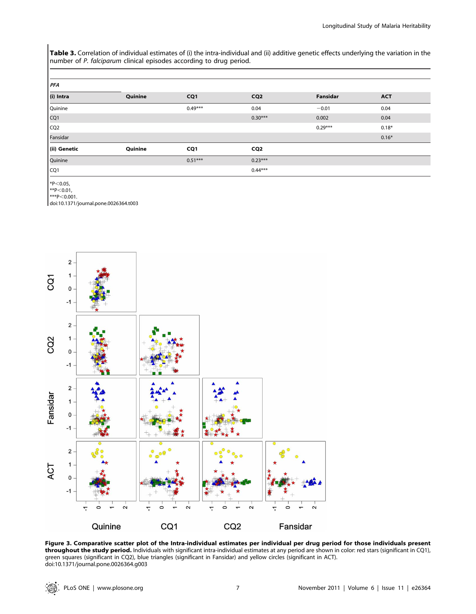Table 3. Correlation of individual estimates of (i) the intra-individual and (ii) additive genetic effects underlying the variation in the number of P. falciparum clinical episodes according to drug period.

| PFA             |         |           |                 |           |            |
|-----------------|---------|-----------|-----------------|-----------|------------|
| (i) Intra       | Quinine | CQ1       | CQ <sub>2</sub> | Fansidar  | <b>ACT</b> |
| Quinine         |         | $0.49***$ | 0.04            | $-0.01$   | 0.04       |
| CQ1             |         |           | $0.30***$       | 0.002     | 0.04       |
| CQ <sub>2</sub> |         |           |                 | $0.29***$ | $0.18*$    |
| Fansidar        |         |           |                 |           | $0.16*$    |
| (ii) Genetic    | Quinine | CQ1       | CQ <sub>2</sub> |           |            |
| Quinine         |         | $0.51***$ | $0.23***$       |           |            |
| CQ <sub>1</sub> |         |           | $0.44***$       |           |            |

 $*P<0.05$ ,

 $*$ P<0.01,

 $***P<0.001$ .

doi:10.1371/journal.pone.0026364.t003



Figure 3. Comparative scatter plot of the Intra-individual estimates per individual per drug period for those individuals present throughout the study period. Individuals with significant intra-individual estimates at any period are shown in color: red stars (significant in CQ1), green squares (significant in CQ2), blue triangles (significant in Fansidar) and yellow circles (significant in ACT). doi:10.1371/journal.pone.0026364.g003

: @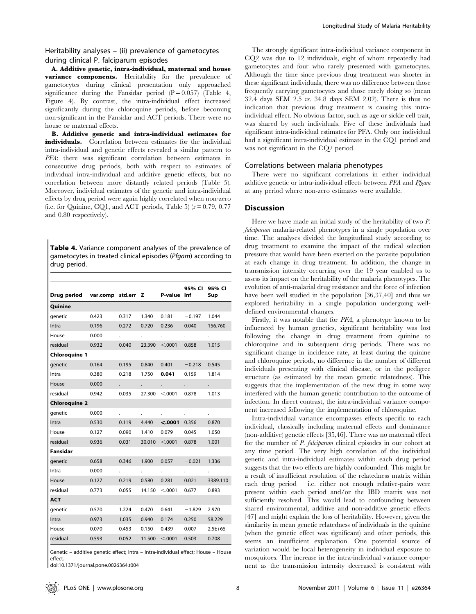Heritability analyses – (ii) prevalence of gametocytes during clinical P. falciparum episodes

A. Additive genetic, intra-individual, maternal and house variance components. Heritability for the prevalence of gametocytes during clinical presentation only approached significance during the Fansidar period  $(P = 0.057)$  (Table 4, Figure 4). By contrast, the intra-individual effect increased significantly during the chloroquine periods, before becoming non-significant in the Fansidar and ACT periods. There were no house or maternal effects.

B. Additive genetic and intra-individual estimates for individuals. Correlation between estimates for the individual intra-individual and genetic effects revealed a similar pattern to PFA: there was significant correlation between estimates in consecutive drug periods, both with respect to estimates of individual intra-individual and additive genetic effects, but no correlation between more distantly related periods (Table 5). Moreover, individual estimates of the genetic and intra-individual effects by drug period were again highly correlated when non-zero (i.e. for Quinine, CQ1, and ACT periods, Table 5)  $(r = 0.79, 0.77)$ and 0.80 respectively).

Table 4. Variance component analyses of the prevalence of gametocytes in treated clinical episodes (Pfgam) according to drug period.

| Drug period var.comp std.err Z |       |                            |                            | P-value Inf                |                           | 95% CL 95% CL<br>Sup      |
|--------------------------------|-------|----------------------------|----------------------------|----------------------------|---------------------------|---------------------------|
| Quinine                        |       |                            |                            |                            |                           |                           |
| genetic                        | 0.423 | 0.317                      | 1.340                      | 0.181                      | $-0.197$                  | 1.044                     |
| Intra                          | 0.196 | 0.272                      | 0.720                      | 0.236                      | 0.040                     | 156.760                   |
| House                          | 0.000 | $\mathcal{L}^{\text{max}}$ | <b>Contractor</b>          |                            |                           | $\sim$                    |
| residual                       | 0.932 | 0.040                      |                            | 23.390 < 0001              | 0.858                     | 1.015                     |
| <b>Chloroquine 1</b>           |       |                            |                            |                            |                           |                           |
| genetic                        | 0.164 | 0.195                      | 0.840                      | 0.401                      | $-0.218$                  | 0.545                     |
| Intra                          | 0.380 | 0.218                      | 1.750                      | 0.041                      | 0.159                     | 1.814                     |
| House                          | 0.000 | $\sim$                     | <b>Contract</b>            | $\sim 100$                 | $\sim 10^{-10}$           | $\mathbf{L} = \mathbf{L}$ |
| residual                       | 0.942 | 0.035                      | 27.300                     | < 0.0001                   | 0.878                     | 1.013                     |
| <b>Chloroquine 2</b>           |       |                            |                            |                            |                           |                           |
| genetic                        | 0.000 | <b>Contract</b>            | <b>Contract</b>            |                            |                           |                           |
| Intra                          | 0.530 | 0.119                      | 4.440                      | < .0001                    | 0.356                     | 0.870                     |
| House                          | 0.127 | 0.090                      | 1.410                      | 0.079                      | 0.045                     | 1.050                     |
| residual                       | 0.936 | 0.031                      | 30.010                     | < .0001                    | 0.878                     | 1.001                     |
| Fansidar                       |       |                            |                            |                            |                           |                           |
| genetic                        | 0.658 | 0.346                      | 1.900                      | 0.057                      | $-0.021$                  | 1.336                     |
| Intra                          | 0.000 | <b>College</b>             | $\mathcal{L}^{\text{max}}$ | $\mathcal{L}^{\text{max}}$ | $\mathbf{L} = \mathbf{L}$ |                           |
| House                          | 0.127 | 0.219                      | 0.580                      | 0.281                      | 0.021                     | 3389.110                  |
| residual                       | 0.773 | 0.055                      | 14.150                     | < 0.001                    | 0.677                     | 0.893                     |
| АСТ                            |       |                            |                            |                            |                           |                           |
| genetic                        | 0.570 | 1.224                      | 0.470                      | 0.641                      | $-1.829$                  | 2.970                     |
| Intra                          | 0.973 | 1.035                      | 0.940                      | 0.174                      | 0.250                     | 58.229                    |
| House                          | 0.070 | 0.453                      | 0.150                      | 0.439                      | 0.007                     | $2.5E + 65$               |
| residual                       | 0.593 | 0.052                      | 11.500                     | < .0001                    | 0.503                     | 0.708                     |

Genetic – additive genetic effect; Intra – Intra-individual effect; House – House effect.

doi:10.1371/journal.pone.0026364.t004

The strongly significant intra-individual variance component in CQ2 was due to 12 individuals, eight of whom repeatedly had gametocytes and four who rarely presented with gametocytes. Although the time since previous drug treatment was shorter in these significant individuals, there was no difference between those frequently carrying gametocytes and those rarely doing so (mean 32.4 days SEM 2.5 vs. 34.8 days SEM 2.02). There is thus no indication that previous drug treatment is causing this intraindividual effect. No obvious factor, such as age or sickle cell trait, was shared by such individuals. Five of these individuals had significant intra-individual estimates for PFA. Only one individual had a significant intra-individual estimate in the CQ1 period and was not significant in the CQ2 period.

#### Correlations between malaria phenotypes

There were no significant correlations in either individual additive genetic or intra-individual effects between PFA and Pfgam at any period where non-zero estimates were available.

#### **Discussion**

Here we have made an initial study of the heritability of two P. falciparum malaria-related phenotypes in a single population over time. The analyses divided the longitudinal study according to drug treatment to examine the impact of the radical selection pressure that would have been exerted on the parasite population at each change in drug treatment. In addition, the change in transmission intensity occurring over the 19 year enabled us to assess its impact on the heritability of the malaria phenotypes. The evolution of anti-malarial drug resistance and the force of infection have been well studied in the population [36,37,40] and thus we explored heritability in a single population undergoing welldefined environmental changes.

Firstly, it was notable that for PFA, a phenotype known to be influenced by human genetics, significant heritability was lost following the change in drug treatment from quinine to chloroquine and in subsequent drug periods. There was no significant change in incidence rate, at least during the quinine and chloroquine periods, no difference in the number of different individuals presenting with clinical disease, or in the pedigree structure (as estimated by the mean genetic relatedness). This suggests that the implementation of the new drug in some way interfered with the human genetic contribution to the outcome of infection. In direct contrast, the intra-individual variance component increased following the implementation of chloroquine.

Intra-individual variance encompasses effects specific to each individual, classically including maternal effects and dominance (non-additive) genetic effects [35,46]. There was no maternal effect for the number of P. falciparum clinical episodes in our cohort at any time period. The very high correlation of the individual genetic and intra-individual estimates within each drug period suggests that the two effects are highly confounded. This might be a result of insufficient resolution of the relatedness matrix within each drug period – i.e. either not enough relative-pairs were present within each period and/or the IBD matrix was not sufficiently resolved. This would lead to confounding between shared environmental, additive and non-additive genetic effects [47] and might explain the loss of heritability. However, given the similarity in mean genetic relatedness of individuals in the quinine (when the genetic effect was significant) and other periods, this seems an insufficient explanation. One potential source of variation would be local heterogeneity in individual exposure to mosquitoes. The increase in the intra-individual variance component as the transmission intensity decreased is consistent with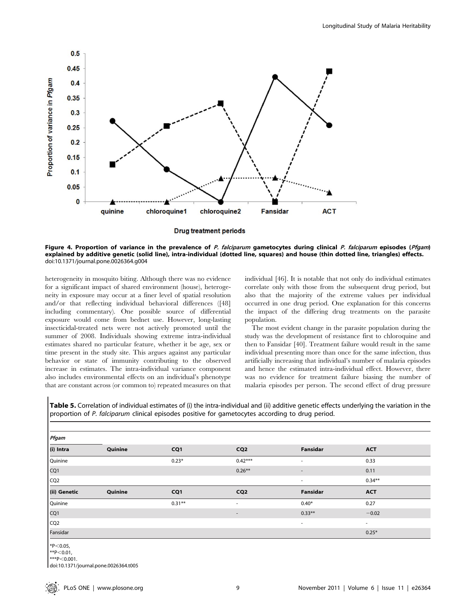

Figure 4. Proportion of variance in the prevalence of P. falciparum gametocytes during clinical P. falciparum episodes (Pfgam) explained by additive genetic (solid line), intra-individual (dotted line, squares) and house (thin dotted line, triangles) effects. doi:10.1371/journal.pone.0026364.g004

heterogeneity in mosquito biting. Although there was no evidence for a significant impact of shared environment (house), heterogeneity in exposure may occur at a finer level of spatial resolution and/or that reflecting individual behavioral differences ([48] including commentary). One possible source of differential exposure would come from bednet use. However, long-lasting insecticidal-treated nets were not actively promoted until the summer of 2008. Individuals showing extreme intra-individual estimates shared no particular feature, whether it be age, sex or time present in the study site. This argues against any particular behavior or state of immunity contributing to the observed increase in estimates. The intra-individual variance component also includes environmental effects on an individual's phenotype that are constant across (or common to) repeated measures on that individual [46]. It is notable that not only do individual estimates correlate only with those from the subsequent drug period, but also that the majority of the extreme values per individual occurred in one drug period. One explanation for this concerns the impact of the differing drug treatments on the parasite population.

The most evident change in the parasite population during the study was the development of resistance first to chloroquine and then to Fansidar [40]. Treatment failure would result in the same individual presenting more than once for the same infection, thus artificially increasing that individual's number of malaria episodes and hence the estimated intra-individual effect. However, there was no evidence for treatment failure biasing the number of malaria episodes per person. The second effect of drug pressure

Table 5. Correlation of individual estimates of (i) the intra-individual and (ii) additive genetic effects underlying the variation in the proportion of P. falciparum clinical episodes positive for gametocytes according to drug period.

| Pfgam           |         |           |                          |                          |            |  |
|-----------------|---------|-----------|--------------------------|--------------------------|------------|--|
| (i) Intra       | Quinine | CQ1       | CQ <sub>2</sub>          | Fansidar                 | <b>ACT</b> |  |
| Quinine         |         | $0.23*$   | $0.42***$                | ٠                        | 0.33       |  |
| CQ <sub>1</sub> |         |           | $0.26***$                | $\overline{\phantom{a}}$ | 0.11       |  |
| CQ <sub>2</sub> |         |           |                          | ٠                        | $0.34**$   |  |
| (ii) Genetic    | Quinine | CQ1       | CQ <sub>2</sub>          | Fansidar                 | <b>ACT</b> |  |
| Quinine         |         | $0.31***$ | $\sim$                   | $0.40*$                  | 0.27       |  |
| CQ <sub>1</sub> |         |           | $\overline{\phantom{a}}$ | $0.33**$                 | $-0.02$    |  |
| CQ <sub>2</sub> |         |           |                          | ٠                        | ٠          |  |
| Fansidar        |         |           |                          |                          | $0.25*$    |  |

 $*P<0.05$ ,

 $*P<0.01$ ,  $***P<0.001$ .

doi:10.1371/journal.pone.0026364.t005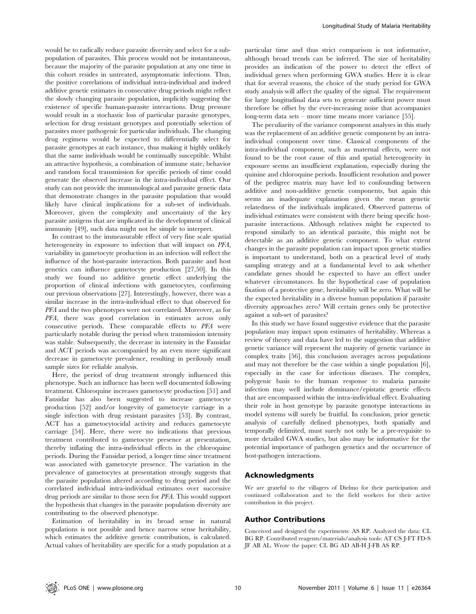would be to radically reduce parasite diversity and select for a subpopulation of parasites. This process would not be instantaneous, because the majority of the parasite population at any one time in this cohort resides in untreated, asymptomatic infections. Thus, the positive correlations of individual intra-individual and indeed additive genetic estimates in consecutive drug periods might reflect the slowly changing parasite population, implicitly suggesting the existence of specific human-parasite interactions. Drug pressure would result in a stochastic loss of particular parasite genotypes, selection for drug resistant genotypes and potentially selection of parasites more pathogenic for particular individuals. The changing drug regimens would be expected to differentially select for parasite genotypes at each instance, thus making it highly unlikely that the same individuals would be continually susceptible. Whilst an attractive hypothesis, a combination of immune state, behavior and random focal transmission for specific periods of time could generate the observed increase in the intra-individual effect. Our study can not provide the immunological and parasite genetic data that demonstrate changes in the parasite population that would likely have clinical implications for a sub-set of individuals. Moreover, given the complexity and uncertainty of the key parasite antigens that are implicated in the development of clinical immunity [49], such data might not be simple to interpret.

In contrast to the immeasurable effect of very fine scale spatial heterogeneity in exposure to infection that will impact on PFA, variability in gametocyte production in an infection will reflect the influence of the host-parasite interaction. Both parasite and host genetics can influence gametocyte production [27,50]. In this study we found no additive genetic effect underlying the proportion of clinical infections with gametocytes, confirming our previous observations [27]. Interestingly, however, there was a similar increase in the intra-individual effect to that observed for PFA and the two phenotypes were not correlated. Moreover, as for PFA, there was good correlation in estimates across only consecutive periods. These comparable effects to PFA were particularly notable during the period when transmission intensity was stable. Subsequently, the decrease in intensity in the Fansidar and ACT periods was accompanied by an even more significant decrease in gametocyte prevalence, resulting in perilously small sample sizes for reliable analysis.

Here, the period of drug treatment strongly influenced this phenotype. Such an influence has been well documented following treatment. Chloroquine increases gametocyte production [51] and Fansidar has also been suggested to increase gametocyte production [52] and/or longevity of gametocyte carriage in a single infection with drug resistant parasites [53]. By contrast, ACT has a gametocytocidal activity and reduces gametocyte carriage [54]. Here, there were no indications that previous treatment contributed to gametocyte presence at presentation, thereby inflating the intra-individual effects in the chloroquine periods. During the Fansidar period, a longer time since treatment was associated with gametocyte presence. The variation in the prevalence of gametocytes at presentation strongly suggests that the parasite population altered according to drug period and the correlated individual intra-individual estimates over successive drug periods are similar to those seen for PFA. This would support the hypothesis that changes in the parasite population diversity are contributing to the observed phenotype.

Estimation of heritability in its broad sense in natural populations is not possible and hence narrow sense heritability, which estimates the additive genetic contribution, is calculated. Actual values of heritability are specific for a study population at a

particular time and thus strict comparison is not informative, although broad trends can be inferred. The size of heritability provides an indication of the power to detect the effect of individual genes when performing GWA studies. Here it is clear that for several reasons, the choice of the study period for GWA study analysis will affect the quality of the signal. The requirement for large longitudinal data sets to generate sufficient power must therefore be offset by the ever-increasing noise that accompanies long-term data sets – more time means more variance [55].

The peculiarity of the variance component analyses in this study was the replacement of an additive genetic component by an intraindividual component over time. Classical components of the intra-individual component, such as maternal effects, were not found to be the root cause of this and spatial heterogeneity in exposure seems an insufficient explanation, especially during the quinine and chloroquine periods. Insufficient resolution and power of the pedigree matrix may have led to confounding between additive and non-additive genetic components, but again this seems an inadequate explanation given the mean genetic relatedness of the individuals implicated. Observed patterns of individual estimates were consistent with there being specific hostparasite interactions. Although relatives might be expected to respond similarly to an identical parasite, this might not be detectable as an additive genetic component. To what extent changes in the parasite population can impact upon genetic studies is important to understand, both on a practical level of study sampling strategy and at a fundamental level to ask whether candidate genes should be expected to have an effect under whatever circumstances. In the hypothetical case of population fixation of a protective gene, heritability will be zero. What will be the expected heritability in a diverse human population if parasite diversity approaches zero? Will certain genes only be protective against a sub-set of parasites?

In this study we have found suggestive evidence that the parasite population may impact upon estimates of heritability. Whereas a review of theory and data have led to the suggestion that additive genetic variance will represent the majority of genetic variance in complex traits [56], this conclusion averages across populations and may not therefore be the case within a single population [6], especially in the case for infectious diseases. The complex, polygenic basis to the human response to malaria parasite infection may well include dominance/epistatic genetic effects that are encompassed within the intra-individual effect. Evaluating their role in host genotype by parasite genotype interactions in model systems will surely be fruitful. In conclusion, prior genetic analysis of carefully defined phenotypes, both spatially and temporally delimited, must surely not only be a pre-requisite to more detailed GWA studies, but also may be informative for the potential importance of pathogen genetics and the occurrence of host-pathogen interactions.

## Acknowledgments

We are grateful to the villagers of Dielmo for their participation and continued collaboration and to the field workers for their active contribution in this project.

## Author Contributions

Conceived and designed the experiments: AS RP. Analyzed the data: CL BG RP. Contributed reagents/materials/analysis tools: AT CS J-FT FD-S JF AB AL. Wrote the paper: CL BG AD AB-H J-FB AS RP.